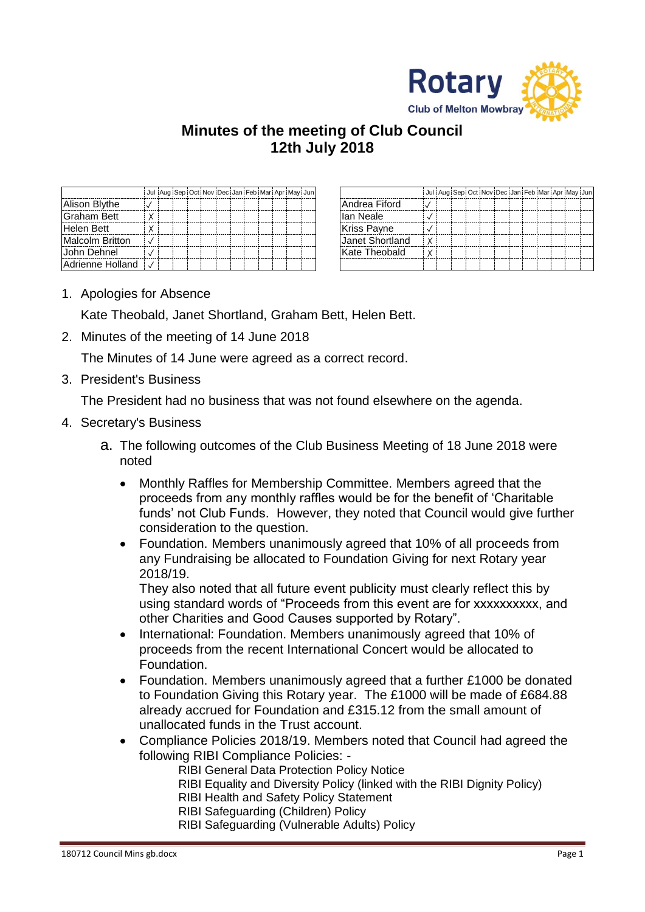

## **Minutes of the meeting of Club Council 12th July 2018**

|                    |  |  |  |  |  | Jul Aug Sep Oct Nov Dec Jan Feb Mar Apr May Jun |                    | ۱۱۱. |
|--------------------|--|--|--|--|--|-------------------------------------------------|--------------------|------|
| Alison Blythe      |  |  |  |  |  |                                                 | lAndrea Fiford     |      |
| <b>Graham Bett</b> |  |  |  |  |  |                                                 | llan Neale         |      |
| Helen Bett         |  |  |  |  |  |                                                 | <b>Kriss Payne</b> |      |
| Malcolm Britton    |  |  |  |  |  |                                                 | Janet Shortland    |      |
| lJohn Dehnel       |  |  |  |  |  |                                                 | Kate Theobald      |      |
|                    |  |  |  |  |  |                                                 |                    |      |

|   |  |  |  |  | Jul Aug Sep Oct Nov Dec Jan Feb Mar Apr May Jun |                 |  |  |  |  |  | Jul Aug Sep Oct Nov Dec Jan Feb Mar Apr May Jun |  |
|---|--|--|--|--|-------------------------------------------------|-----------------|--|--|--|--|--|-------------------------------------------------|--|
|   |  |  |  |  |                                                 | Andrea Fiford   |  |  |  |  |  |                                                 |  |
| X |  |  |  |  |                                                 | lan Neale       |  |  |  |  |  |                                                 |  |
| X |  |  |  |  |                                                 | Kriss Payne     |  |  |  |  |  |                                                 |  |
|   |  |  |  |  |                                                 | Janet Shortland |  |  |  |  |  |                                                 |  |
|   |  |  |  |  |                                                 | Kate Theobald   |  |  |  |  |  |                                                 |  |
|   |  |  |  |  |                                                 |                 |  |  |  |  |  |                                                 |  |

1. Apologies for Absence

Kate Theobald, Janet Shortland, Graham Bett, Helen Bett.

2. Minutes of the meeting of 14 June 2018

The Minutes of 14 June were agreed as a correct record.

3. President's Business

The President had no business that was not found elsewhere on the agenda.

- 4. Secretary's Business
	- a. The following outcomes of the Club Business Meeting of 18 June 2018 were noted
		- Monthly Raffles for Membership Committee. Members agreed that the proceeds from any monthly raffles would be for the benefit of 'Charitable funds' not Club Funds. However, they noted that Council would give further consideration to the question.
		- Foundation. Members unanimously agreed that 10% of all proceeds from any Fundraising be allocated to Foundation Giving for next Rotary year 2018/19.

They also noted that all future event publicity must clearly reflect this by using standard words of "Proceeds from this event are for xxxxxxxxxx, and other Charities and Good Causes supported by Rotary".

- International: Foundation. Members unanimously agreed that 10% of proceeds from the recent International Concert would be allocated to Foundation.
- Foundation. Members unanimously agreed that a further £1000 be donated to Foundation Giving this Rotary year. The £1000 will be made of £684.88 already accrued for Foundation and £315.12 from the small amount of unallocated funds in the Trust account.
- Compliance Policies 2018/19. Members noted that Council had agreed the following RIBI Compliance Policies: -
	- RIBI General Data Protection Policy Notice

RIBI Equality and Diversity Policy (linked with the RIBI Dignity Policy)

- RIBI Health and Safety Policy Statement
- RIBI Safeguarding (Children) Policy

RIBI Safeguarding (Vulnerable Adults) Policy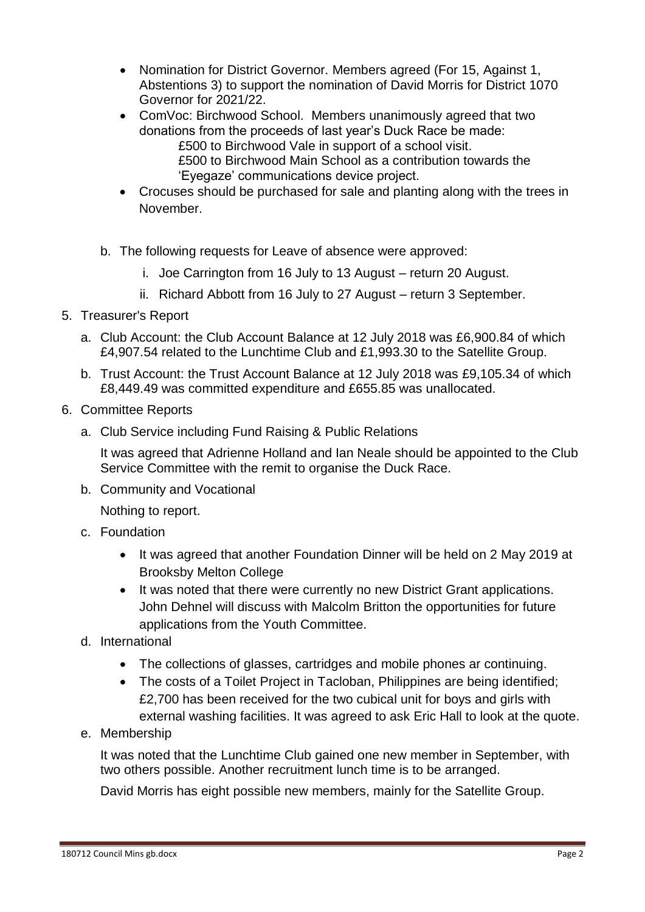- Nomination for District Governor. Members agreed (For 15, Against 1, Abstentions 3) to support the nomination of David Morris for District 1070 Governor for 2021/22.
- ComVoc: Birchwood School. Members unanimously agreed that two donations from the proceeds of last year's Duck Race be made: £500 to Birchwood Vale in support of a school visit.

£500 to Birchwood Main School as a contribution towards the 'Eyegaze' communications device project.

- Crocuses should be purchased for sale and planting along with the trees in November.
- b. The following requests for Leave of absence were approved:
	- i. Joe Carrington from 16 July to 13 August return 20 August.
	- ii. Richard Abbott from 16 July to 27 August return 3 September.
- 5. Treasurer's Report
	- a. Club Account: the Club Account Balance at 12 July 2018 was £6,900.84 of which £4,907.54 related to the Lunchtime Club and £1,993.30 to the Satellite Group.
	- b. Trust Account: the Trust Account Balance at 12 July 2018 was £9,105.34 of which £8,449.49 was committed expenditure and £655.85 was unallocated.
- 6. Committee Reports
	- a. Club Service including Fund Raising & Public Relations

It was agreed that Adrienne Holland and Ian Neale should be appointed to the Club Service Committee with the remit to organise the Duck Race.

b. Community and Vocational

Nothing to report.

- c. Foundation
	- It was agreed that another Foundation Dinner will be held on 2 May 2019 at Brooksby Melton College
	- It was noted that there were currently no new District Grant applications. John Dehnel will discuss with Malcolm Britton the opportunities for future applications from the Youth Committee.
- d. International
	- The collections of glasses, cartridges and mobile phones ar continuing.
	- The costs of a Toilet Project in Tacloban, Philippines are being identified; £2,700 has been received for the two cubical unit for boys and girls with external washing facilities. It was agreed to ask Eric Hall to look at the quote.
- e. Membership

It was noted that the Lunchtime Club gained one new member in September, with two others possible. Another recruitment lunch time is to be arranged.

David Morris has eight possible new members, mainly for the Satellite Group.